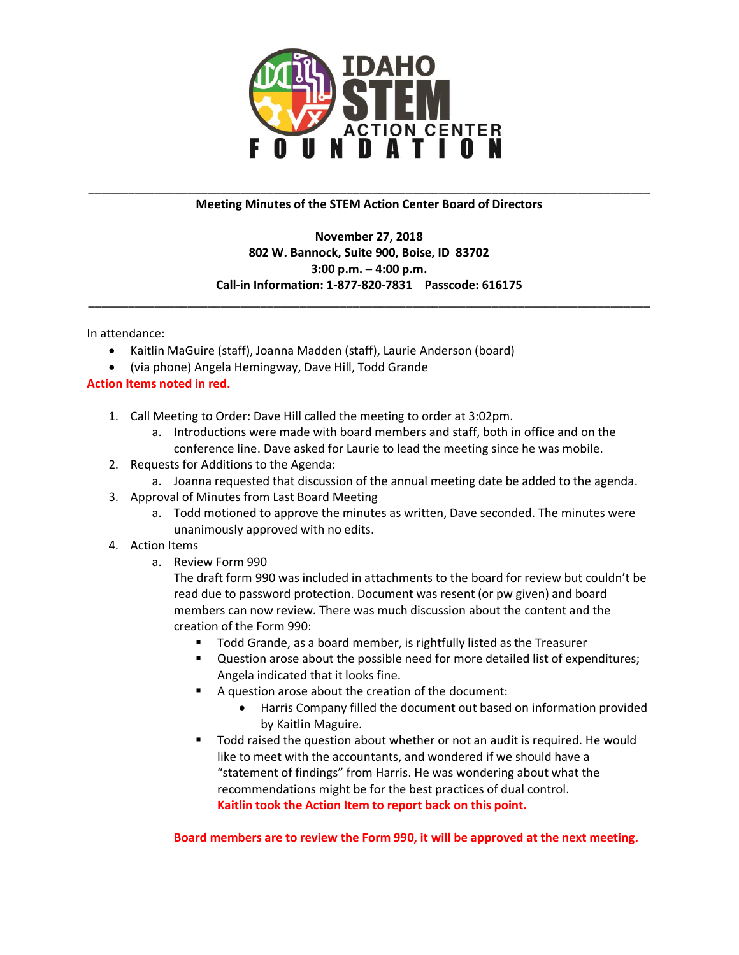

## \_\_\_\_\_\_\_\_\_\_\_\_\_\_\_\_\_\_\_\_\_\_\_\_\_\_\_\_\_\_\_\_\_\_\_\_\_\_\_\_\_\_\_\_\_\_\_\_\_\_\_\_\_\_\_\_\_\_\_\_\_\_\_\_\_\_\_\_\_\_\_\_\_\_\_\_\_\_\_\_\_\_\_\_\_ **Meeting Minutes of the STEM Action Center Board of Directors**

## **November 27, 2018 802 W. Bannock, Suite 900, Boise, ID 83702 3:00 p.m. – 4:00 p.m. Call-in Information: 1-877-820-7831 Passcode: 616175**

\_\_\_\_\_\_\_\_\_\_\_\_\_\_\_\_\_\_\_\_\_\_\_\_\_\_\_\_\_\_\_\_\_\_\_\_\_\_\_\_\_\_\_\_\_\_\_\_\_\_\_\_\_\_\_\_\_\_\_\_\_\_\_\_\_\_\_\_\_\_\_\_\_\_\_\_\_\_\_\_\_\_\_\_\_

In attendance:

- Kaitlin MaGuire (staff), Joanna Madden (staff), Laurie Anderson (board)
- (via phone) Angela Hemingway, Dave Hill, Todd Grande

## **Action Items noted in red.**

- 1. Call Meeting to Order: Dave Hill called the meeting to order at 3:02pm.
	- a. Introductions were made with board members and staff, both in office and on the conference line. Dave asked for Laurie to lead the meeting since he was mobile.
- 2. Requests for Additions to the Agenda:
	- a. Joanna requested that discussion of the annual meeting date be added to the agenda.
- 3. Approval of Minutes from Last Board Meeting
	- a. Todd motioned to approve the minutes as written, Dave seconded. The minutes were unanimously approved with no edits.

## 4. Action Items

a. Review Form 990

The draft form 990 was included in attachments to the board for review but couldn't be read due to password protection. Document was resent (or pw given) and board members can now review. There was much discussion about the content and the creation of the Form 990:

- Todd Grande, as a board member, is rightfully listed as the Treasurer
- Question arose about the possible need for more detailed list of expenditures; Angela indicated that it looks fine.
- A question arose about the creation of the document:
	- Harris Company filled the document out based on information provided by Kaitlin Maguire.
- Todd raised the question about whether or not an audit is required. He would like to meet with the accountants, and wondered if we should have a "statement of findings" from Harris. He was wondering about what the recommendations might be for the best practices of dual control. **Kaitlin took the Action Item to report back on this point.**

**Board members are to review the Form 990, it will be approved at the next meeting.**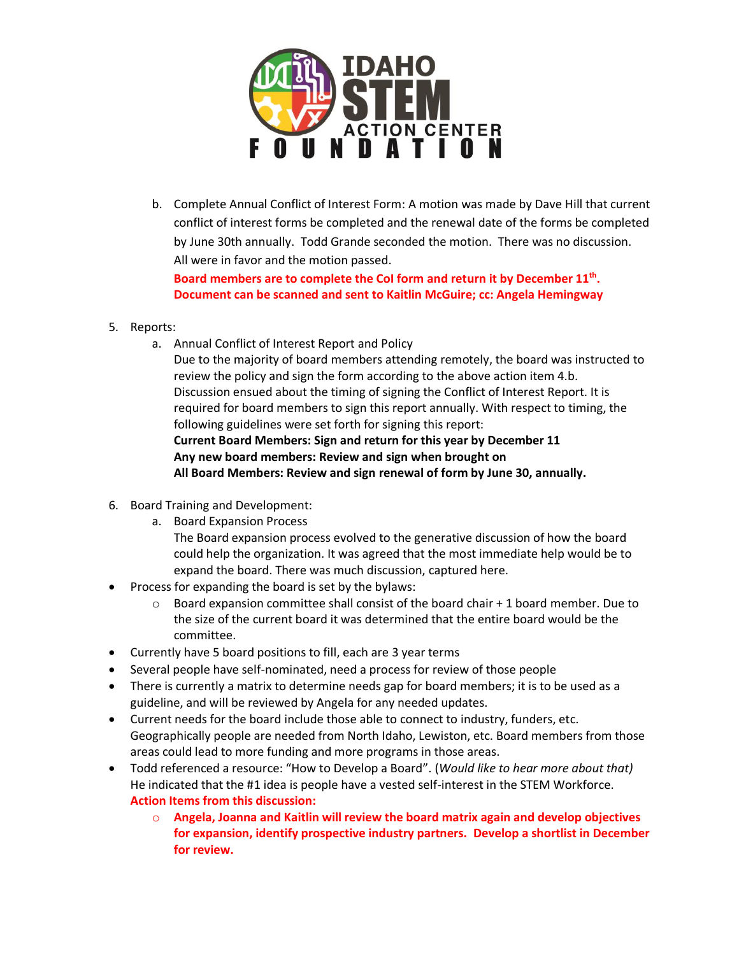

b. Complete Annual Conflict of Interest Form: A motion was made by Dave Hill that current conflict of interest forms be completed and the renewal date of the forms be completed by June 30th annually. Todd Grande seconded the motion. There was no discussion. All were in favor and the motion passed.

**Board members are to complete the CoI form and return it by December 11th . Document can be scanned and sent to Kaitlin McGuire; cc: Angela Hemingway**

- 5. Reports:
	- a. Annual Conflict of Interest Report and Policy

Due to the majority of board members attending remotely, the board was instructed to review the policy and sign the form according to the above action item 4.b. Discussion ensued about the timing of signing the Conflict of Interest Report. It is required for board members to sign this report annually. With respect to timing, the following guidelines were set forth for signing this report: **Current Board Members: Sign and return for this year by December 11 Any new board members: Review and sign when brought on**

**All Board Members: Review and sign renewal of form by June 30, annually.**

- 6. Board Training and Development:
	- a. Board Expansion Process

The Board expansion process evolved to the generative discussion of how the board could help the organization. It was agreed that the most immediate help would be to expand the board. There was much discussion, captured here.

- Process for expanding the board is set by the bylaws:
	- $\circ$  Board expansion committee shall consist of the board chair + 1 board member. Due to the size of the current board it was determined that the entire board would be the committee.
- Currently have 5 board positions to fill, each are 3 year terms
- Several people have self-nominated, need a process for review of those people
- There is currently a matrix to determine needs gap for board members; it is to be used as a guideline, and will be reviewed by Angela for any needed updates.
- Current needs for the board include those able to connect to industry, funders, etc. Geographically people are needed from North Idaho, Lewiston, etc. Board members from those areas could lead to more funding and more programs in those areas.
- Todd referenced a resource: "How to Develop a Board". (*Would like to hear more about that)* He indicated that the #1 idea is people have a vested self-interest in the STEM Workforce. **Action Items from this discussion:** 
	- o **Angela, Joanna and Kaitlin will review the board matrix again and develop objectives for expansion, identify prospective industry partners. Develop a shortlist in December for review.**